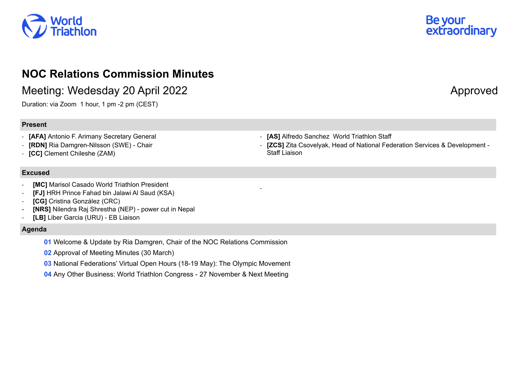



Meeting: Wedesday 20 April 2022 Approved

Duration: via Zoom 1 hour, 1 pm -2 pm (CEST)

## **Present**

- **[AFA]** Antonio F. Arimany Secretary General
- **[RDN]** Ria Damgren-Nilsson (SWE) Chair
- **[CC]** Clement Chileshe (ZAM)

## **Excused**

- **[MC]** Marisol Casado World Triathlon President
- **[FJ]** HRH Prince Fahad bin Jalawi Al Saud (KSA)
- **[CG]** Cristina González (CRC)
- **[NRS]** Nilendra Raj Shrestha (NEP) power cut in Nepal
- **[LB]** Liber Garcia (URU) EB Liaison

## **Agenda**

- **01** Welcome & Update by Ria Damgren, Chair of the NOC Relations Commission
- **02** Approval of Meeting Minutes (30 March)
- **03** National Federations' Virtual Open Hours (18-19 May): The Olympic Movement
- **04** Any Other Business: World Triathlon Congress 27 November & Next Meeting



- **[AS]** Alfredo Sanchez World Triathlon Staff

-

- **[ZCS]** Zita Csovelyak, Head of National Federation Services & Development - Staff Liaison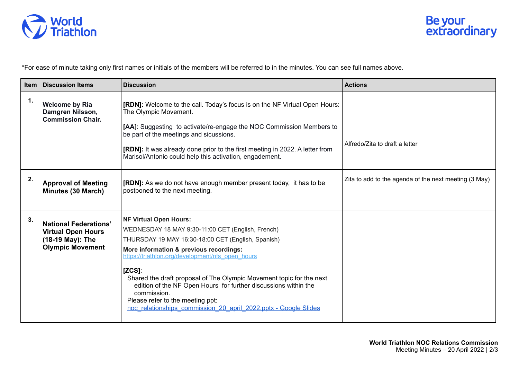

\*For ease of minute taking only first names or initials of the members will be referred to in the minutes. You can see full names above.

| Item | Discussion Items                                                                                  | <b>Discussion</b>                                                                                                                                                                                                                                                                                                                                                                                                                                                                                                     | <b>Actions</b>                                        |
|------|---------------------------------------------------------------------------------------------------|-----------------------------------------------------------------------------------------------------------------------------------------------------------------------------------------------------------------------------------------------------------------------------------------------------------------------------------------------------------------------------------------------------------------------------------------------------------------------------------------------------------------------|-------------------------------------------------------|
| 1.   | <b>Welcome by Ria</b><br>Damgren Nilsson,<br><b>Commission Chair.</b>                             | <b>[RDN]:</b> Welcome to the call. Today's focus is on the NF Virtual Open Hours:<br>The Olympic Movement.<br>[AA]: Suggesting to activate/re-engage the NOC Commission Members to<br>be part of the meetings and sicussions.<br><b>[RDN]:</b> It was already done prior to the first meeting in 2022. A letter from<br>Marisol/Antonio could help this activation, engadement.                                                                                                                                       | Alfredo/Zita to draft a letter                        |
| 2.   | <b>Approval of Meeting</b><br>Minutes (30 March)                                                  | <b>[RDN]:</b> As we do not have enough member present today, it has to be<br>postponed to the next meeting.                                                                                                                                                                                                                                                                                                                                                                                                           | Zita to add to the agenda of the next meeting (3 May) |
| 3.   | National Federations'<br><b>Virtual Open Hours</b><br>(18-19 May): The<br><b>Olympic Movement</b> | <b>NF Virtual Open Hours:</b><br>WEDNESDAY 18 MAY 9:30-11:00 CET (English, French)<br>THURSDAY 19 MAY 16:30-18:00 CET (English, Spanish)<br>More information & previous recordings:<br>https://triathlon.org/development/nfs open hours<br>$[ZCS]$ :<br>Shared the draft proposal of The Olympic Movement topic for the next<br>edition of the NF Open Hours for further discussions within the<br>commission.<br>Please refer to the meeting ppt:<br>noc relationships commission 20 april 2022.pptx - Google Slides |                                                       |